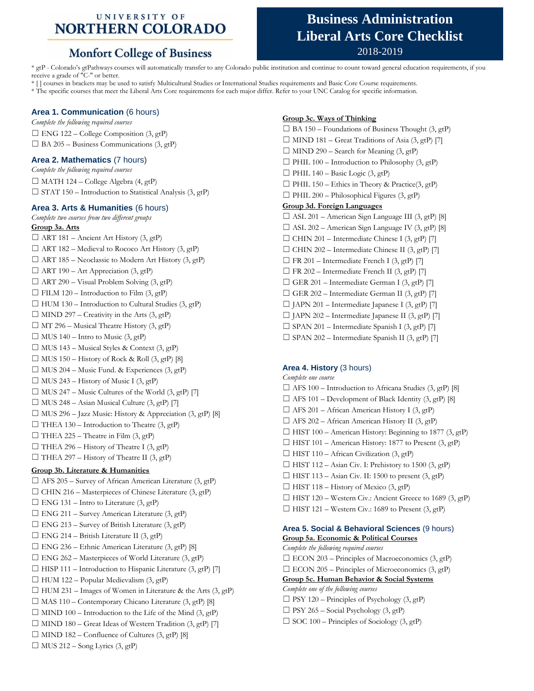### UNIVERSITY OF **NORTHERN COLORADO**

## **Monfort College of Business**

# **Business Administration Liberal Arts Core Checklist** 2018-2019

\* gtP - Colorado's gtPathways courses will automatically transfer to any Colorado public institution and continue to count toward general education requirements, if you receive a grade of "C-" or better.

\* [ ] courses in brackets may be used to satisfy Multicultural Studies or International Studies requirements and Basic Core Course requirements.

\* The specific courses that meet the Liberal Arts Core requirements for each major differ. Refer to your UNC Catalog for specific information.

#### **Area 1. Communication** (6 hours)

*Complete the following required courses*  $\square$  ENG 122 – College Composition (3, gtP)  $\Box$  BA 205 – Business Communications (3, gtP)

#### **Area 2. Mathematics** (7 hours)

*Complete the following required courses*  $\Box$  MATH 124 – College Algebra (4, gtP)  $\Box$  STAT 150 – Introduction to Statistical Analysis (3, gtP)

#### **Area 3. Arts & Humanities** (6 hours)

*Complete two courses from two different groups* **Group 3a. Arts**  $\Box$  ART 181 – Ancient Art History (3, gtP)  $\Box$  ART 182 – Medieval to Rococo Art History (3, gtP)  $\Box$  ART 185 – Neoclassic to Modern Art History (3, gtP)  $\Box$  ART 190 – Art Appreciation (3, gtP)  $\Box$  ART 290 – Visual Problem Solving (3, gtP)  $\Box$  FILM 120 – Introduction to Film (3, gtP)  $\Box$  HUM 130 – Introduction to Cultural Studies (3, gtP)  $\Box$  MIND 297 – Creativity in the Arts (3, gtP)  $\Box$  MT 296 – Musical Theatre History (3, gtP)  $\Box$  MUS 140 – Intro to Music (3, gtP)  $\Box$  MUS 143 – Musical Styles & Context (3, gtP)  $\Box$  MUS 150 – History of Rock & Roll (3, gtP) [8]  $\Box$  MUS 204 – Music Fund. & Experiences (3, gtP)  $\Box$  MUS 243 – History of Music I (3, gtP)  $\Box$  MUS 247 – Music Cultures of the World (3, gtP) [7]  $\Box$  MUS 248 – Asian Musical Culture (3, gtP) [7]  $\Box$  MUS 296 – Jazz Music: History & Appreciation (3, gtP) [8]  $\Box$  THEA 130 – Introduction to Theatre (3, gtP)  $\Box$  THEA 225 – Theatre in Film (3, gtP)  $\Box$  THEA 296 – History of Theatre I (3, gtP)  $\Box$  THEA 297 – History of Theatre II (3, gtP) **Group 3b. Literature & Humanities**  $\Box$  AFS 205 – Survey of African American Literature (3, gtP)  $\Box$  CHIN 216 – Masterpieces of Chinese Literature (3, gtP)  $\Box$  ENG 131 – Intro to Literature (3, gtP)  $\Box$  ENG 211 – Survey American Literature (3, gtP)  $\Box$  ENG 213 – Survey of British Literature (3, gtP)  $\Box$  ENG 214 – British Literature II (3, gtP)  $\Box$  ENG 236 – Ethnic American Literature (3, gtP) [8]  $\square$  ENG 262 – Masterpieces of World Literature (3, gtP)  $\Box$  HISP 111 – Introduction to Hispanic Literature (3, gtP) [7]  $\Box$  HUM 122 – Popular Medievalism (3, gtP)  $\Box$  HUM 231 – Images of Women in Literature & the Arts (3, gtP)  $\Box$  MAS 110 – Contemporary Chicano Literature (3, gtP) [8]  $\Box$  MIND 100 – Introduction to the Life of the Mind (3, gtP)  $\Box$  MIND 180 – Great Ideas of Western Tradition (3, gtP) [7]  $\Box$  MIND 182 – Confluence of Cultures (3, gtP) [8]  $\Box$  MUS 212 – Song Lyrics (3, gtP)

#### **Group 3c. Ways of Thinking**

 $\Box$  BA 150 – Foundations of Business Thought (3, gtP)  $\Box$  MIND 181 – Great Traditions of Asia (3, gtP) [7]  $\Box$  MIND 290 – Search for Meaning (3, gtP)  $\Box$  PHIL 100 – Introduction to Philosophy (3, gtP)  $\Box$  PHIL 140 – Basic Logic (3, gtP)  $\Box$  PHIL 150 – Ethics in Theory & Practice(3, gtP)  $\Box$  PHIL 200 – Philosophical Figures (3, gtP) **Group 3d. Foreign Languages** ☐ ASL 201 – American Sign Language III (3, gtP) [8]  $\Box$  ASL 202 – American Sign Language IV (3, gtP) [8]  $\Box$  CHIN 201 – Intermediate Chinese I (3, gtP) [7]  $\Box$  CHIN 202 – Intermediate Chinese II (3, gtP) [7]  $\Box$  FR 201 – Intermediate French I (3, gtP) [7]  $\Box$  FR 202 – Intermediate French II (3, gtP) [7]  $\Box$  GER 201 – Intermediate German I (3, gtP) [7]  $\Box$  GER 202 – Intermediate German II (3, gtP) [7]  $\Box$  JAPN 201 – Intermediate Japanese I (3, gtP) [7]  $\Box$  JAPN 202 – Intermediate Japanese II (3, gtP) [7]  $\Box$  SPAN 201 – Intermediate Spanish I (3, gtP) [7]  $\square$  SPAN 202 – Intermediate Spanish II (3, gtP) [7]

#### **Area 4. History** (3 hours)

*Complete one course*  $\Box$  AFS 100 – Introduction to Africana Studies (3, gtP) [8]  $\Box$  AFS 101 – Development of Black Identity (3, gtP) [8]  $\Box$  AFS 201 – African American History I (3, gtP)  $\Box$  AFS 202 – African American History II (3, gtP)  $\Box$  HIST 100 – American History: Beginning to 1877 (3, gtP)  $\Box$  HIST 101 – American History: 1877 to Present (3, gtP)  $\Box$  HIST 110 – African Civilization (3, gtP)  $\Box$  HIST 112 – Asian Civ. I: Prehistory to 1500 (3, gtP)  $\Box$  HIST 113 – Asian Civ. II: 1500 to present (3, gtP)  $\Box$  HIST 118 – History of Mexico (3, gtP) ☐ HIST 120 – Western Civ.: Ancient Greece to 1689 (3, gtP)  $\Box$  HIST 121 – Western Civ.: 1689 to Present (3, gtP)

#### **Area 5. Social & Behavioral Sciences** (9 hours) **Group 5a. Economic & Political Courses**

*Complete the following required courses*  $\Box$  ECON 203 – Principles of Macroeconomics (3, gtP)  $\square$  ECON 205 – Principles of Microeconomics (3, gtP) **Group 5c. Human Behavior & Social Systems** *Complete one of the following courses*  $\square$  PSY 120 – Principles of Psychology (3, gtP)  $\Box$  PSY 265 – Social Psychology (3, gtP)  $\Box$  SOC 100 – Principles of Sociology (3, gtP)